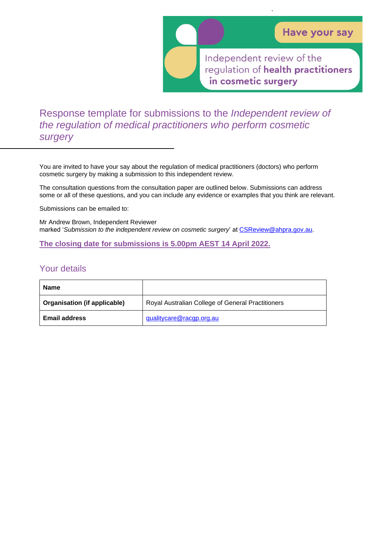Independent review of the regulation of health practitioners in cosmetic surgery

`

Response template for submissions to the *Independent review of the regulation of medical practitioners who perform cosmetic surgery*

You are invited to have your say about the regulation of medical practitioners (doctors) who perform cosmetic surgery by making a submission to this independent review.

The consultation questions from the consultation paper are outlined below. Submissions can address some or all of these questions, and you can include any evidence or examples that you think are relevant.

Submissions can be emailed to:

Mr Andrew Brown, Independent Reviewer marked '*Submission to the independent review on cosmetic surgery*' at [CSReview@ahpra.gov.au.](mailto:CSReview@ahpra.gov.au)

**The closing date for submissions is 5.00pm AEST 14 April 2022.**

## Your details

| <b>Name</b>                  |                                                   |
|------------------------------|---------------------------------------------------|
| Organisation (if applicable) | Royal Australian College of General Practitioners |
| <b>Email address</b>         | qualitycare@racgp.org.au                          |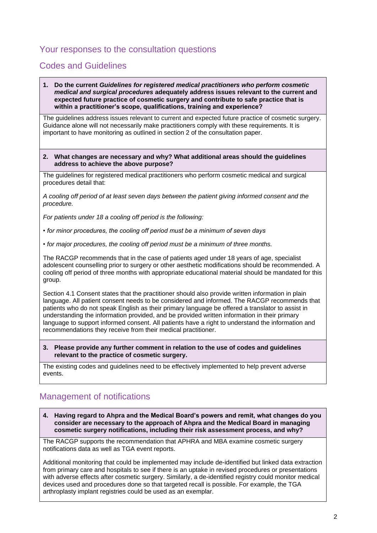## Your responses to the consultation questions

## Codes and Guidelines

**1. Do the current** *Guidelines for registered medical practitioners who perform cosmetic medical and surgical procedures* **adequately address issues relevant to the current and expected future practice of cosmetic surgery and contribute to safe practice that is within a practitioner's scope, qualifications, training and experience?** 

The guidelines address issues relevant to current and expected future practice of cosmetic surgery. Guidance alone will not necessarily make practitioners comply with these requirements. It is important to have monitoring as outlined in section 2 of the consultation paper.

**2. What changes are necessary and why? What additional areas should the guidelines address to achieve the above purpose?**

The guidelines for registered medical practitioners who perform cosmetic medical and surgical procedures detail that:

*A cooling off period of at least seven days between the patient giving informed consent and the procedure.*

*For patients under 18 a cooling off period is the following:*

- *for minor procedures, the cooling off period must be a minimum of seven days*
- *for major procedures, the cooling off period must be a minimum of three months.*

The RACGP recommends that in the case of patients aged under 18 years of age, specialist adolescent counselling prior to surgery or other aesthetic modifications should be recommended. A cooling off period of three months with appropriate educational material should be mandated for this group.

Section 4.1 Consent states that the practitioner should also provide written information in plain language. All patient consent needs to be considered and informed. The RACGP recommends that patients who do not speak English as their primary language be offered a translator to assist in understanding the information provided, and be provided written information in their primary language to support informed consent. All patients have a right to understand the information and recommendations they receive from their medical practitioner.

**3. Please provide any further comment in relation to the use of codes and guidelines relevant to the practice of cosmetic surgery.** 

The existing codes and guidelines need to be effectively implemented to help prevent adverse events.

# Management of notifications

**4. Having regard to Ahpra and the Medical Board's powers and remit, what changes do you consider are necessary to the approach of Ahpra and the Medical Board in managing cosmetic surgery notifications, including their risk assessment process, and why?**

The RACGP supports the recommendation that APHRA and MBA examine cosmetic surgery notifications data as well as TGA event reports.

Additional monitoring that could be implemented may include de-identified but linked data extraction from primary care and hospitals to see if there is an uptake in revised procedures or presentations with adverse effects after cosmetic surgery. Similarly, a de-identified registry could monitor medical devices used and procedures done so that targeted recall is possible. For example, the TGA arthroplasty implant registries could be used as an exemplar.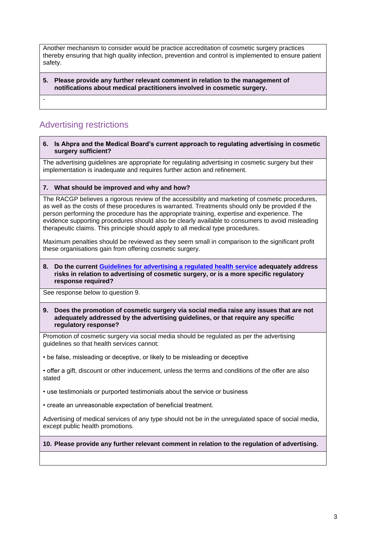Another mechanism to consider would be practice accreditation of cosmetic surgery practices thereby ensuring that high quality infection, prevention and control is implemented to ensure patient safety.

**5. Please provide any further relevant comment in relation to the management of notifications about medical practitioners involved in cosmetic surgery.** 

# Advertising restrictions

-

#### **6. Is Ahpra and the Medical Board's current approach to regulating advertising in cosmetic surgery sufficient?**

The advertising guidelines are appropriate for regulating advertising in cosmetic surgery but their implementation is inadequate and requires further action and refinement.

## **7. What should be improved and why and how?**

The RACGP believes a rigorous review of the accessibility and marketing of cosmetic procedures, as well as the costs of these procedures is warranted. Treatments should only be provided if the person performing the procedure has the appropriate training, expertise and experience. The evidence supporting procedures should also be clearly available to consumers to avoid misleading therapeutic claims. This principle should apply to all medical type procedures.

Maximum penalties should be reviewed as they seem small in comparison to the significant profit these organisations gain from offering cosmetic surgery.

#### **8. Do the current [Guidelines for advertising a regulated health service](https://www.ahpra.gov.au/Publications/Advertising-hub/Advertising-guidelines-and-other-guidance/Advertising-guidelines.aspx) adequately address risks in relation to advertising of cosmetic surgery, or is a more specific regulatory response required?**

See response below to question 9.

#### **9. Does the promotion of cosmetic surgery via social media raise any issues that are not adequately addressed by the advertising guidelines, or that require any specific regulatory response?**

Promotion of cosmetic surgery via social media should be regulated as per the advertising guidelines so that health services cannot:

• be false, misleading or deceptive, or likely to be misleading or deceptive

• offer a gift, discount or other inducement, unless the terms and conditions of the offer are also stated

• use testimonials or purported testimonials about the service or business

• create an unreasonable expectation of beneficial treatment.

Advertising of medical services of any type should not be in the unregulated space of social media, except public health promotions.

## **10. Please provide any further relevant comment in relation to the regulation of advertising.**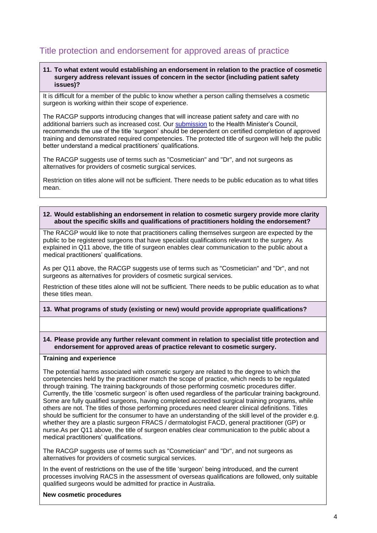# Title protection and endorsement for approved areas of practice

### **11. To what extent would establishing an endorsement in relation to the practice of cosmetic surgery address relevant issues of concern in the sector (including patient safety issues)?**

It is difficult for a member of the public to know whether a person calling themselves a cosmetic surgeon is working within their scope of experience.

The RACGP supports introducing changes that will increase patient safety and care with no additional barriers such as increased cost. Our [submission](https://www.racgp.org.au/advocacy/reports-and-submissions/2022-reports-and-submissions/submission-medical-practitioners) to the Health Minister's Council, recommends the use of the title 'surgeon' should be dependent on certified completion of approved training and demonstrated required competencies. The protected title of surgeon will help the public better understand a medical practitioners' qualifications.

The RACGP suggests use of terms such as "Cosmetician" and "Dr", and not surgeons as alternatives for providers of cosmetic surgical services.

Restriction on titles alone will not be sufficient. There needs to be public education as to what titles mean.

### **12. Would establishing an endorsement in relation to cosmetic surgery provide more clarity about the specific skills and qualifications of practitioners holding the endorsement?**

The RACGP would like to note that practitioners calling themselves surgeon are expected by the public to be registered surgeons that have specialist qualifications relevant to the surgery. As explained in Q11 above, the title of surgeon enables clear communication to the public about a medical practitioners' qualifications.

As per Q11 above, the RACGP suggests use of terms such as "Cosmetician" and "Dr", and not surgeons as alternatives for providers of cosmetic surgical services.

Restriction of these titles alone will not be sufficient. There needs to be public education as to what these titles mean.

## **13. What programs of study (existing or new) would provide appropriate qualifications?**

### **14. Please provide any further relevant comment in relation to specialist title protection and endorsement for approved areas of practice relevant to cosmetic surgery.**

## **Training and experience**

The potential harms associated with cosmetic surgery are related to the degree to which the competencies held by the practitioner match the scope of practice, which needs to be regulated through training. The training backgrounds of those performing cosmetic procedures differ. Currently, the title 'cosmetic surgeon' is often used regardless of the particular training background. Some are fully qualified surgeons, having completed accredited surgical training programs, while others are not. The titles of those performing procedures need clearer clinical definitions. Titles should be sufficient for the consumer to have an understanding of the skill level of the provider e.g. whether they are a plastic surgeon FRACS / dermatologist FACD, general practitioner (GP) or nurse.As per Q11 above, the title of surgeon enables clear communication to the public about a medical practitioners' qualifications.

The RACGP suggests use of terms such as "Cosmetician" and "Dr", and not surgeons as alternatives for providers of cosmetic surgical services.

In the event of restrictions on the use of the title 'surgeon' being introduced, and the current processes involving RACS in the assessment of overseas qualifications are followed, only suitable qualified surgeons would be admitted for practice in Australia.

### **New cosmetic procedures**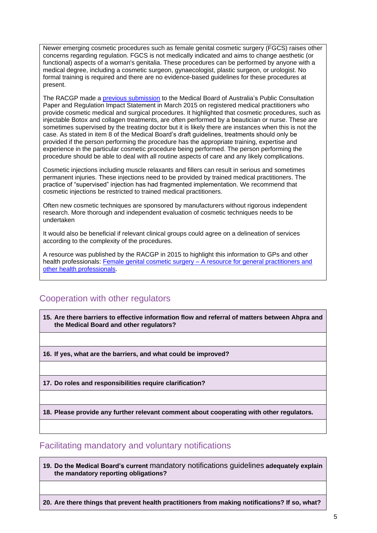Newer emerging cosmetic procedures such as female genital cosmetic surgery (FGCS) raises other concerns regarding regulation. FGCS is not medically indicated and aims to change aesthetic (or functional) aspects of a woman's genitalia. These procedures can be performed by anyone with a medical degree, including a cosmetic surgeon, gynaecologist, plastic surgeon, or urologist. No formal training is required and there are no evidence-based guidelines for these procedures at present.

The RACGP made a [previous submission](https://www.racgp.org.au/advocacy/reports-and-submissions/view-all-reports-and-submissions/2015-reports-and-submissions/cosmetic-medical-and-surgical-procedures) to the Medical Board of Australia's Public Consultation Paper and Regulation Impact Statement in March 2015 on registered medical practitioners who provide cosmetic medical and surgical procedures. It highlighted that cosmetic procedures, such as injectable Botox and collagen treatments, are often performed by a beautician or nurse. These are sometimes supervised by the treating doctor but it is likely there are instances when this is not the case. As stated in item 8 of the Medical Board's draft guidelines, treatments should only be provided if the person performing the procedure has the appropriate training, expertise and experience in the particular cosmetic procedure being performed. The person performing the procedure should be able to deal with all routine aspects of care and any likely complications.

Cosmetic injections including muscle relaxants and fillers can result in serious and sometimes permanent injuries. These injections need to be provided by trained medical practitioners. The practice of "supervised" injection has had fragmented implementation. We recommend that cosmetic injections be restricted to trained medical practitioners.

Often new cosmetic techniques are sponsored by manufacturers without rigorous independent research. More thorough and independent evaluation of cosmetic techniques needs to be undertaken

It would also be beneficial if relevant clinical groups could agree on a delineation of services according to the complexity of the procedures.

A resource was published by the RACGP in 2015 to highlight this information to GPs and other health professionals: Female genital cosmetic surgery – [A resource for general practitioners and](https://www.racgp.org.au/getattachment/be129a58-028c-4f78-ae06-78bf5b6fb38a/Female-genital-cosmetic-surgery.aspx) [other health professionals.](https://www.racgp.org.au/getattachment/be129a58-028c-4f78-ae06-78bf5b6fb38a/Female-genital-cosmetic-surgery.aspx)

## Cooperation with other regulators

**15. Are there barriers to effective information flow and referral of matters between Ahpra and the Medical Board and other regulators?**

**16. If yes, what are the barriers, and what could be improved?** 

**17. Do roles and responsibilities require clarification?** 

**18. Please provide any further relevant comment about cooperating with other regulators.** 

## Facilitating mandatory and voluntary notifications

**19. Do the Medical Board's current** [mandatory notifications guidelines](https://www.ahpra.gov.au/documents/default.aspx?record=WD20/29515&dbid=AP&chksum=YMVsT2Py%2bC0erSWK0OqAhg%3d%3d) **adequately explain the mandatory reporting obligations?** 

**20. Are there things that prevent health practitioners from making notifications? If so, what?**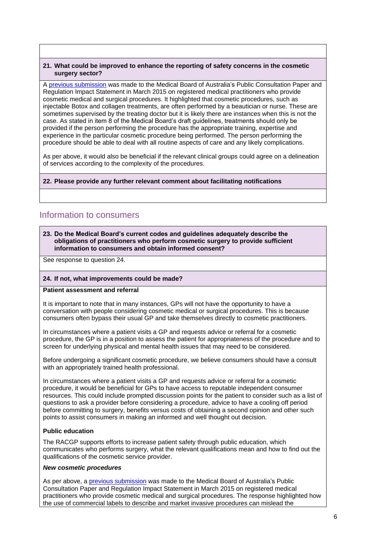## **21. What could be improved to enhance the reporting of safety concerns in the cosmetic surgery sector?**

A [previous submission](https://www.racgp.org.au/advocacy/reports-and-submissions/view-all-reports-and-submissions/2015-reports-and-submissions/cosmetic-medical-and-surgical-procedures) was made to the Medical Board of Australia's Public Consultation Paper and Regulation Impact Statement in March 2015 on registered medical practitioners who provide cosmetic medical and surgical procedures. It highlighted that cosmetic procedures, such as injectable Botox and collagen treatments, are often performed by a beautician or nurse. These are sometimes supervised by the treating doctor but it is likely there are instances when this is not the case. As stated in item 8 of the Medical Board's draft guidelines, treatments should only be provided if the person performing the procedure has the appropriate training, expertise and experience in the particular cosmetic procedure being performed. The person performing the procedure should be able to deal with all routine aspects of care and any likely complications.

As per above, it would also be beneficial if the relevant clinical groups could agree on a delineation of services according to the complexity of the procedures.

## **22. Please provide any further relevant comment about facilitating notifications**

## Information to consumers

### **23. Do the Medical Board's current codes and guidelines adequately describe the obligations of practitioners who perform cosmetic surgery to provide sufficient information to consumers and obtain informed consent?**

See response to question 24.

#### **24. If not, what improvements could be made?**

### **Patient assessment and referral**

It is important to note that in many instances, GPs will not have the opportunity to have a conversation with people considering cosmetic medical or surgical procedures. This is because consumers often bypass their usual GP and take themselves directly to cosmetic practitioners.

In circumstances where a patient visits a GP and requests advice or referral for a cosmetic procedure, the GP is in a position to assess the patient for appropriateness of the procedure and to screen for underlying physical and mental health issues that may need to be considered.

Before undergoing a significant cosmetic procedure, we believe consumers should have a consult with an appropriately trained health professional.

In circumstances where a patient visits a GP and requests advice or referral for a cosmetic procedure, it would be beneficial for GPs to have access to reputable independent consumer resources. This could include prompted discussion points for the patient to consider such as a list of questions to ask a provider before considering a procedure, advice to have a cooling off period before committing to surgery, benefits versus costs of obtaining a second opinion and other such points to assist consumers in making an informed and well thought out decision.

## **Public education**

The RACGP supports efforts to increase patient safety through public education, which communicates who performs surgery, what the relevant qualifications mean and how to find out the qualifications of the cosmetic service provider.

### *New cosmetic procedures*

As per above, a [previous submission](https://www.racgp.org.au/advocacy/reports-and-submissions/view-all-reports-and-submissions/2015-reports-and-submissions/cosmetic-medical-and-surgical-procedures) was made to the Medical Board of Australia's Public Consultation Paper and Regulation Impact Statement in March 2015 on registered medical practitioners who provide cosmetic medical and surgical procedures. The response highlighted how the use of commercial labels to describe and market invasive procedures can mislead the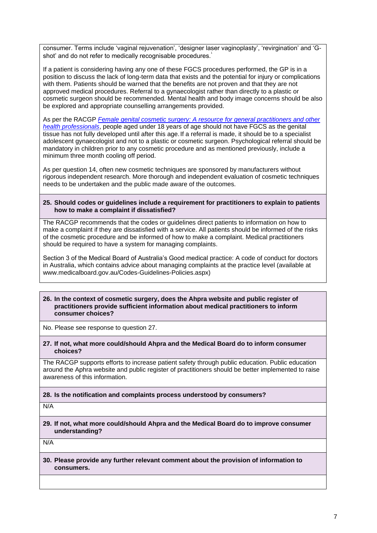consumer. Terms include 'vaginal rejuvenation', 'designer laser vaginoplasty', 'revirgination' and 'Gshot' and do not refer to medically recognisable procedures.<sup>1</sup>

If a patient is considering having any one of these FGCS procedures performed, the GP is in a position to discuss the lack of long-term data that exists and the potential for injury or complications with them. Patients should be warned that the benefits are not proven and that they are not approved medical procedures. Referral to a gynaecologist rather than directly to a plastic or cosmetic surgeon should be recommended. Mental health and body image concerns should be also be explored and appropriate counselling arrangements provided.

As per the RACGP *[Female genital cosmetic surgery: A resource](https://www.racgp.org.au/clinical-resources/clinical-guidelines/key-racgp-guidelines/view-all-racgp-guidelines/female-genital-cosmetic-surgery) for general practitioners and other [health professionals](https://www.racgp.org.au/clinical-resources/clinical-guidelines/key-racgp-guidelines/view-all-racgp-guidelines/female-genital-cosmetic-surgery)*, people aged under 18 years of age should not have FGCS as the genital tissue has not fully developed until after this age.If a referral is made, it should be to a specialist adolescent gynaecologist and not to a plastic or cosmetic surgeon. Psychological referral should be mandatory in children prior to any cosmetic procedure and as mentioned previously, include a minimum three month cooling off period.

As per question 14, often new cosmetic techniques are sponsored by manufacturers without rigorous independent research. More thorough and independent evaluation of cosmetic techniques needs to be undertaken and the public made aware of the outcomes.

### **25. Should codes or guidelines include a requirement for practitioners to explain to patients how to make a complaint if dissatisfied?**

The RACGP recommends that the codes or guidelines direct patients to information on how to make a complaint if they are dissatisfied with a service. All patients should be informed of the risks of the cosmetic procedure and be informed of how to make a complaint. Medical practitioners should be required to have a system for managing complaints.

Section 3 of the Medical Board of Australia's Good medical practice: A code of conduct for doctors in Australia, which contains advice about managing complaints at the practice level (available at www.medicalboard.gov.au/Codes-Guidelines-Policies.aspx)

#### **26. In the context of cosmetic surgery, does the Ahpra website and public register of practitioners provide sufficient information about medical practitioners to inform consumer choices?**

No. Please see response to question 27.

**27. If not, what more could/should Ahpra and the Medical Board do to inform consumer choices?** 

The RACGP supports efforts to increase patient safety through public education. Public education around the Aphra website and public register of practitioners should be better implemented to raise awareness of this information.

## **28. Is the notification and complaints process understood by consumers?**

N/A

**29. If not, what more could/should Ahpra and the Medical Board do to improve consumer understanding?** 

N/A

**30. Please provide any further relevant comment about the provision of information to consumers.**